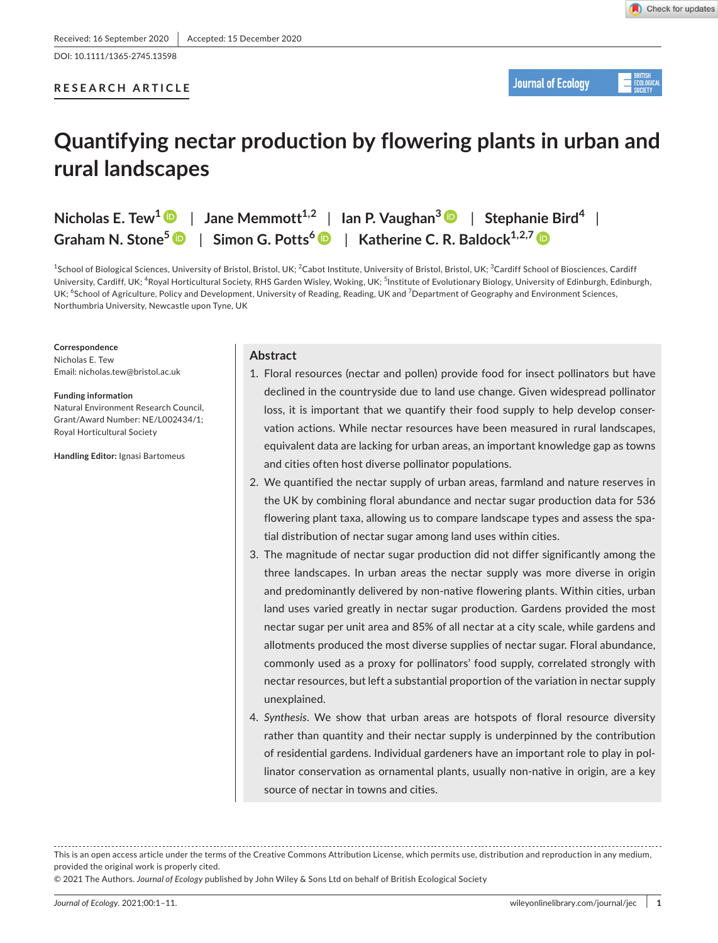DOI: 10.1111/1365-2745.13598

# **RESEARCH ARTICLE**



# **Quantifying nectar production by flowering plants in urban and rural landscapes**

 $Nicholas E. \text{Tew}^1 \cdot \text{P}$  $Nicholas E. \text{Tew}^1 \cdot \text{P}$  $Nicholas E. \text{Tew}^1 \cdot \text{P}$  | Jane Memmott<sup>1,2</sup> | Ian P. Vaughan<sup>[3](https://orcid.org/0000-0002-7263-3822)</sup>  $\text{P}$  | Stephanie Bird<sup>4</sup> | **Graham N. Stone<sup>5</sup>** | **Simon G. Potts[6](https://orcid.org/0000-0002-2045-980X)** | **Katherine C. R. Baldock1,2,7**

 $^{\rm 1}$ School of Biological Sciences, University of Bristol, Bristol, UK;  $^{\rm 2}$ Cabot Institute, University of Bristol, Bristol, UK;  $^{\rm 3}$ Cardiff School of Biosciences, Cardiff University, Cardiff, UK; <sup>4</sup>Royal Horticultural Society, RHS Garden Wisley, Woking, UK; <sup>5</sup>Institute of Evolutionary Biology, University of Edinburgh, Edinburgh, UK; <sup>6</sup>School of Agriculture, Policy and Development, University of Reading, Reading, UK and <sup>7</sup>Department of Geography and Environment Sciences, Northumbria University, Newcastle upon Tyne, UK

#### **Correspondence**

Nicholas E. Tew Email: [nicholas.tew@bristol.ac.uk](mailto:nicholas.tew@bristol.ac.uk)

**Funding information**

Natural Environment Research Council, Grant/Award Number: NE/L002434/1; Royal Horticultural Society

**Handling Editor:** Ignasi Bartomeus

## **Abstract**

- 1. Floral resources (nectar and pollen) provide food for insect pollinators but have declined in the countryside due to land use change. Given widespread pollinator loss, it is important that we quantify their food supply to help develop conservation actions. While nectar resources have been measured in rural landscapes, equivalent data are lacking for urban areas, an important knowledge gap as towns and cities often host diverse pollinator populations.
- 2. We quantified the nectar supply of urban areas, farmland and nature reserves in the UK by combining floral abundance and nectar sugar production data for 536 flowering plant taxa, allowing us to compare landscape types and assess the spatial distribution of nectar sugar among land uses within cities.
- 3. The magnitude of nectar sugar production did not differ significantly among the three landscapes. In urban areas the nectar supply was more diverse in origin and predominantly delivered by non-native flowering plants. Within cities, urban land uses varied greatly in nectar sugar production. Gardens provided the most nectar sugar per unit area and 85% of all nectar at a city scale, while gardens and allotments produced the most diverse supplies of nectar sugar. Floral abundance, commonly used as a proxy for pollinators' food supply, correlated strongly with nectar resources, but left a substantial proportion of the variation in nectar supply unexplained.
- 4. *Synthesis*. We show that urban areas are hotspots of floral resource diversity rather than quantity and their nectar supply is underpinned by the contribution of residential gardens. Individual gardeners have an important role to play in pollinator conservation as ornamental plants, usually non-native in origin, are a key source of nectar in towns and cities.

This is an open access article under the terms of the [Creative Commons Attribution](http://creativecommons.org/licenses/by/4.0/) License, which permits use, distribution and reproduction in any medium, provided the original work is properly cited.

© 2021 The Authors. *Journal of Ecology* published by John Wiley & Sons Ltd on behalf of British Ecological Society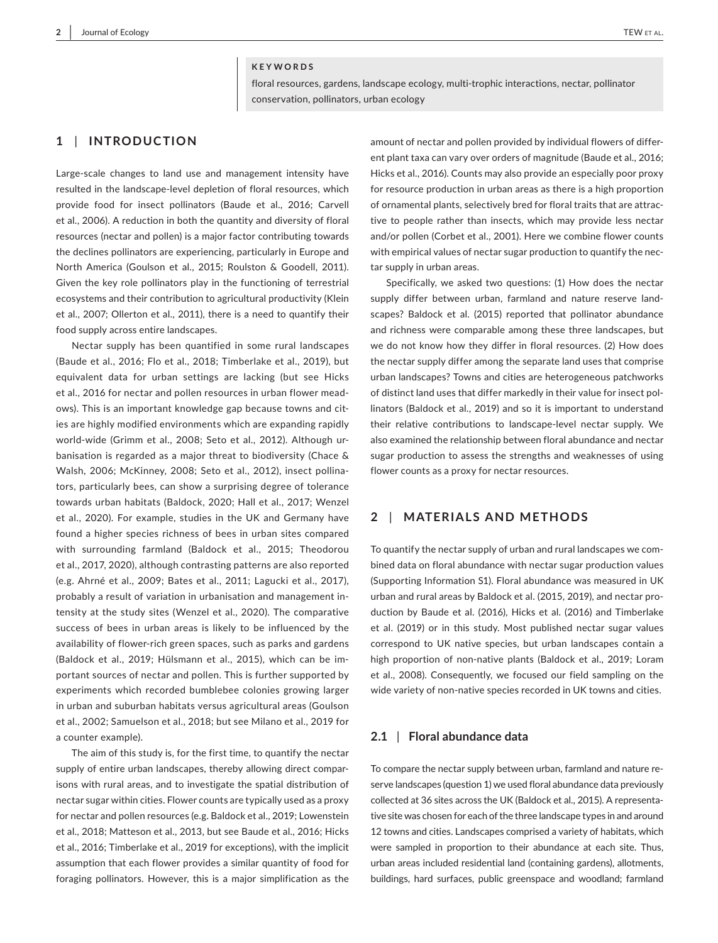#### **KEYWORDS**

floral resources, gardens, landscape ecology, multi-trophic interactions, nectar, pollinator conservation, pollinators, urban ecology

## **1** | **INTRODUCTION**

Large-scale changes to land use and management intensity have resulted in the landscape-level depletion of floral resources, which provide food for insect pollinators (Baude et al., 2016; Carvell et al., 2006). A reduction in both the quantity and diversity of floral resources (nectar and pollen) is a major factor contributing towards the declines pollinators are experiencing, particularly in Europe and North America (Goulson et al., 2015; Roulston & Goodell, 2011). Given the key role pollinators play in the functioning of terrestrial ecosystems and their contribution to agricultural productivity (Klein et al., 2007; Ollerton et al., 2011), there is a need to quantify their food supply across entire landscapes.

Nectar supply has been quantified in some rural landscapes (Baude et al., 2016; Flo et al., 2018; Timberlake et al., 2019), but equivalent data for urban settings are lacking (but see Hicks et al., 2016 for nectar and pollen resources in urban flower meadows). This is an important knowledge gap because towns and cities are highly modified environments which are expanding rapidly world-wide (Grimm et al., 2008; Seto et al., 2012). Although urbanisation is regarded as a major threat to biodiversity (Chace & Walsh, 2006; McKinney, 2008; Seto et al., 2012), insect pollinators, particularly bees, can show a surprising degree of tolerance towards urban habitats (Baldock, 2020; Hall et al., 2017; Wenzel et al., 2020). For example, studies in the UK and Germany have found a higher species richness of bees in urban sites compared with surrounding farmland (Baldock et al., 2015; Theodorou et al., 2017, 2020), although contrasting patterns are also reported (e.g. Ahrné et al., 2009; Bates et al., 2011; Lagucki et al., 2017), probably a result of variation in urbanisation and management intensity at the study sites (Wenzel et al., 2020). The comparative success of bees in urban areas is likely to be influenced by the availability of flower-rich green spaces, such as parks and gardens (Baldock et al., 2019; Hülsmann et al., 2015), which can be important sources of nectar and pollen. This is further supported by experiments which recorded bumblebee colonies growing larger in urban and suburban habitats versus agricultural areas (Goulson et al., 2002; Samuelson et al., 2018; but see Milano et al., 2019 for a counter example).

The aim of this study is, for the first time, to quantify the nectar supply of entire urban landscapes, thereby allowing direct comparisons with rural areas, and to investigate the spatial distribution of nectar sugar within cities. Flower counts are typically used as a proxy for nectar and pollen resources (e.g. Baldock et al., 2019; Lowenstein et al., 2018; Matteson et al., 2013, but see Baude et al., 2016; Hicks et al., 2016; Timberlake et al., 2019 for exceptions), with the implicit assumption that each flower provides a similar quantity of food for foraging pollinators. However, this is a major simplification as the amount of nectar and pollen provided by individual flowers of different plant taxa can vary over orders of magnitude (Baude et al., 2016; Hicks et al., 2016). Counts may also provide an especially poor proxy for resource production in urban areas as there is a high proportion of ornamental plants, selectively bred for floral traits that are attractive to people rather than insects, which may provide less nectar and/or pollen (Corbet et al., 2001). Here we combine flower counts with empirical values of nectar sugar production to quantify the nectar supply in urban areas.

Specifically, we asked two questions: (1) How does the nectar supply differ between urban, farmland and nature reserve landscapes? Baldock et al. (2015) reported that pollinator abundance and richness were comparable among these three landscapes, but we do not know how they differ in floral resources. (2) How does the nectar supply differ among the separate land uses that comprise urban landscapes? Towns and cities are heterogeneous patchworks of distinct land uses that differ markedly in their value for insect pollinators (Baldock et al., 2019) and so it is important to understand their relative contributions to landscape-level nectar supply. We also examined the relationship between floral abundance and nectar sugar production to assess the strengths and weaknesses of using flower counts as a proxy for nectar resources.

## **2** | **MATERIALS AND METHODS**

To quantify the nectar supply of urban and rural landscapes we combined data on floral abundance with nectar sugar production values (Supporting Information S1). Floral abundance was measured in UK urban and rural areas by Baldock et al. (2015, 2019), and nectar production by Baude et al. (2016), Hicks et al. (2016) and Timberlake et al. (2019) or in this study. Most published nectar sugar values correspond to UK native species, but urban landscapes contain a high proportion of non-native plants (Baldock et al., 2019; Loram et al., 2008). Consequently, we focused our field sampling on the wide variety of non-native species recorded in UK towns and cities.

## **2.1** | **Floral abundance data**

To compare the nectar supply between urban, farmland and nature reserve landscapes (question 1) we used floral abundance data previously collected at 36 sites across the UK (Baldock et al., 2015). A representative site was chosen for each of the three landscape types in and around 12 towns and cities. Landscapes comprised a variety of habitats, which were sampled in proportion to their abundance at each site. Thus, urban areas included residential land (containing gardens), allotments, buildings, hard surfaces, public greenspace and woodland; farmland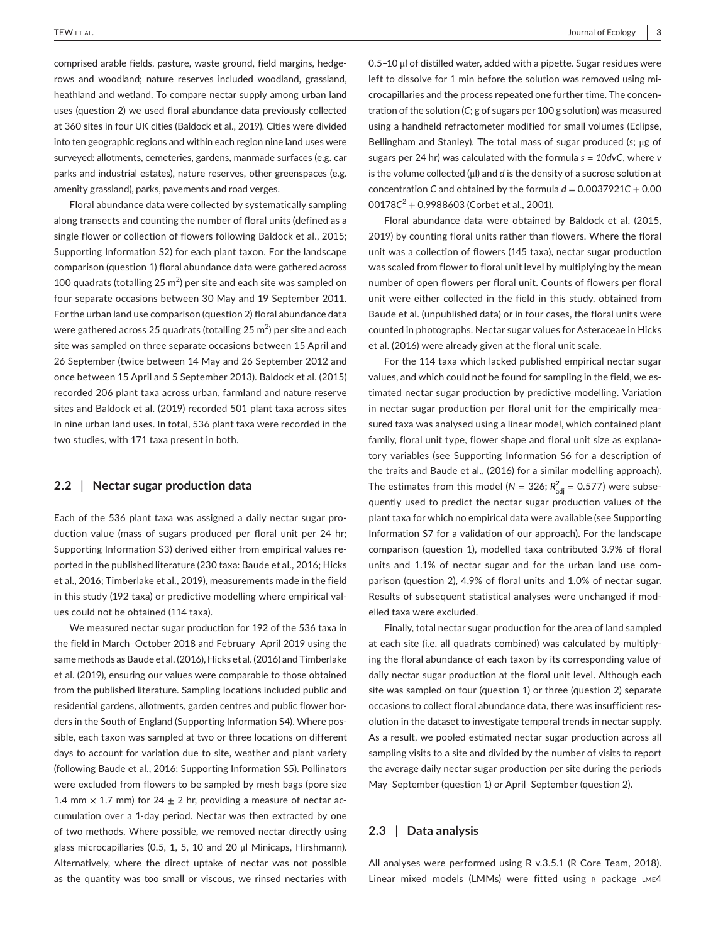comprised arable fields, pasture, waste ground, field margins, hedgerows and woodland; nature reserves included woodland, grassland, heathland and wetland. To compare nectar supply among urban land uses (question 2) we used floral abundance data previously collected at 360 sites in four UK cities (Baldock et al., 2019). Cities were divided into ten geographic regions and within each region nine land uses were surveyed: allotments, cemeteries, gardens, manmade surfaces (e.g. car parks and industrial estates), nature reserves, other greenspaces (e.g. amenity grassland), parks, pavements and road verges.

Floral abundance data were collected by systematically sampling along transects and counting the number of floral units (defined as a single flower or collection of flowers following Baldock et al., 2015; Supporting Information S2) for each plant taxon. For the landscape comparison (question 1) floral abundance data were gathered across 100 quadrats (totalling 25  $m^2$ ) per site and each site was sampled on four separate occasions between 30 May and 19 September 2011. For the urban land use comparison (question 2) floral abundance data were gathered across 25 quadrats (totalling 25 m $^2$ ) per site and each site was sampled on three separate occasions between 15 April and 26 September (twice between 14 May and 26 September 2012 and once between 15 April and 5 September 2013). Baldock et al. (2015) recorded 206 plant taxa across urban, farmland and nature reserve sites and Baldock et al. (2019) recorded 501 plant taxa across sites in nine urban land uses. In total, 536 plant taxa were recorded in the two studies, with 171 taxa present in both.

## **2.2** | **Nectar sugar production data**

Each of the 536 plant taxa was assigned a daily nectar sugar production value (mass of sugars produced per floral unit per 24 hr; Supporting Information S3) derived either from empirical values reported in the published literature (230 taxa: Baude et al., 2016; Hicks et al., 2016; Timberlake et al., 2019), measurements made in the field in this study (192 taxa) or predictive modelling where empirical values could not be obtained (114 taxa).

We measured nectar sugar production for 192 of the 536 taxa in the field in March–October 2018 and February–April 2019 using the same methods as Baude et al. (2016), Hicks et al. (2016) and Timberlake et al. (2019), ensuring our values were comparable to those obtained from the published literature. Sampling locations included public and residential gardens, allotments, garden centres and public flower borders in the South of England (Supporting Information S4). Where possible, each taxon was sampled at two or three locations on different days to account for variation due to site, weather and plant variety (following Baude et al., 2016; Supporting Information S5). Pollinators were excluded from flowers to be sampled by mesh bags (pore size 1.4 mm  $\times$  1.7 mm) for 24  $\pm$  2 hr, providing a measure of nectar accumulation over a 1-day period. Nectar was then extracted by one of two methods. Where possible, we removed nectar directly using glass microcapillaries (0.5, 1, 5, 10 and 20 μl Minicaps, Hirshmann). Alternatively, where the direct uptake of nectar was not possible as the quantity was too small or viscous, we rinsed nectaries with

0.5–10 μl of distilled water, added with a pipette. Sugar residues were left to dissolve for 1 min before the solution was removed using microcapillaries and the process repeated one further time. The concentration of the solution (*C*; g of sugars per 100 g solution) was measured using a handheld refractometer modified for small volumes (Eclipse, Bellingham and Stanley). The total mass of sugar produced (*s*; μg of sugars per 24 hr) was calculated with the formula *s = 10dvC*, where *v* is the volume collected (μl) and *d* is the density of a sucrose solution at concentration *C* and obtained by the formula  $d = 0.0037921C + 0.00$ 00178*C*<sup>2</sup> + 0.9988603 (Corbet et al., 2001).

Floral abundance data were obtained by Baldock et al. (2015, 2019) by counting floral units rather than flowers. Where the floral unit was a collection of flowers (145 taxa), nectar sugar production was scaled from flower to floral unit level by multiplying by the mean number of open flowers per floral unit. Counts of flowers per floral unit were either collected in the field in this study, obtained from Baude et al. (unpublished data) or in four cases, the floral units were counted in photographs. Nectar sugar values for Asteraceae in Hicks et al. (2016) were already given at the floral unit scale.

For the 114 taxa which lacked published empirical nectar sugar values, and which could not be found for sampling in the field, we estimated nectar sugar production by predictive modelling. Variation in nectar sugar production per floral unit for the empirically measured taxa was analysed using a linear model, which contained plant family, floral unit type, flower shape and floral unit size as explanatory variables (see Supporting Information S6 for a description of the traits and Baude et al., (2016) for a similar modelling approach). The estimates from this model ( $N = 326$ ;  $R_{\text{adj}}^2 = 0.577$ ) were subsequently used to predict the nectar sugar production values of the plant taxa for which no empirical data were available (see Supporting Information S7 for a validation of our approach). For the landscape comparison (question 1), modelled taxa contributed 3.9% of floral units and 1.1% of nectar sugar and for the urban land use comparison (question 2), 4.9% of floral units and 1.0% of nectar sugar. Results of subsequent statistical analyses were unchanged if modelled taxa were excluded.

Finally, total nectar sugar production for the area of land sampled at each site (i.e. all quadrats combined) was calculated by multiplying the floral abundance of each taxon by its corresponding value of daily nectar sugar production at the floral unit level. Although each site was sampled on four (question 1) or three (question 2) separate occasions to collect floral abundance data, there was insufficient resolution in the dataset to investigate temporal trends in nectar supply. As a result, we pooled estimated nectar sugar production across all sampling visits to a site and divided by the number of visits to report the average daily nectar sugar production per site during the periods May–September (question 1) or April–September (question 2).

## **2.3** | **Data analysis**

All analyses were performed using R v.3.5.1 (R Core Team, 2018). Linear mixed models (LMMs) were fitted using  $R$  package  $LME4$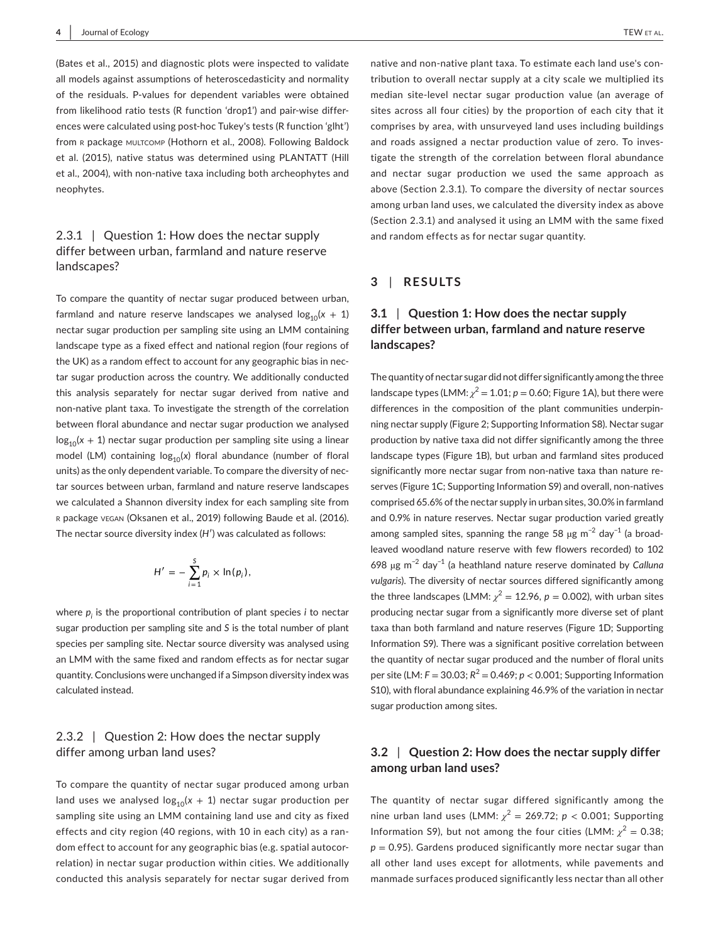(Bates et al., 2015) and diagnostic plots were inspected to validate all models against assumptions of heteroscedasticity and normality of the residuals. P-values for dependent variables were obtained from likelihood ratio tests (R function 'drop1') and pair-wise differences were calculated using post-hoc Tukey's tests (R function 'glht') from R package MULTCOMP (Hothorn et al., 2008). Following Baldock et al. (2015), native status was determined using PLANTATT (Hill et al., 2004), with non-native taxa including both archeophytes and neophytes.

# 2.3.1 | Question 1: How does the nectar supply differ between urban, farmland and nature reserve landscapes?

To compare the quantity of nectar sugar produced between urban, farmland and nature reserve landscapes we analysed  $log_{10}(x + 1)$ nectar sugar production per sampling site using an LMM containing landscape type as a fixed effect and national region (four regions of the UK) as a random effect to account for any geographic bias in nectar sugar production across the country. We additionally conducted this analysis separately for nectar sugar derived from native and non-native plant taxa. To investigate the strength of the correlation between floral abundance and nectar sugar production we analysed  $log<sub>10</sub>(x + 1)$  nectar sugar production per sampling site using a linear model (LM) containing  $log_{10}(x)$  floral abundance (number of floral units) as the only dependent variable. To compare the diversity of nectar sources between urban, farmland and nature reserve landscapes we calculated a Shannon diversity index for each sampling site from <sup>r</sup> package vegan (Oksanen et al., 2019) following Baude et al. (2016). The nectar source diversity index (*H*′) was calculated as follows:

$$
H' = -\sum_{i=1}^S p_i \times \ln(p_i),
$$

where *pi* is the proportional contribution of plant species *i* to nectar sugar production per sampling site and *S* is the total number of plant species per sampling site. Nectar source diversity was analysed using an LMM with the same fixed and random effects as for nectar sugar quantity. Conclusions were unchanged if a Simpson diversity index was calculated instead.

# 2.3.2 | Question 2: How does the nectar supply differ among urban land uses?

To compare the quantity of nectar sugar produced among urban land uses we analysed  $log_{10}(x + 1)$  nectar sugar production per sampling site using an LMM containing land use and city as fixed effects and city region (40 regions, with 10 in each city) as a random effect to account for any geographic bias (e.g. spatial autocorrelation) in nectar sugar production within cities. We additionally conducted this analysis separately for nectar sugar derived from

native and non-native plant taxa. To estimate each land use's contribution to overall nectar supply at a city scale we multiplied its median site-level nectar sugar production value (an average of sites across all four cities) by the proportion of each city that it comprises by area, with unsurveyed land uses including buildings and roads assigned a nectar production value of zero. To investigate the strength of the correlation between floral abundance and nectar sugar production we used the same approach as above (Section 2.3.1). To compare the diversity of nectar sources among urban land uses, we calculated the diversity index as above (Section 2.3.1) and analysed it using an LMM with the same fixed and random effects as for nectar sugar quantity.

## **3** | **RESULTS**

# **3.1** | **Question 1: How does the nectar supply differ between urban, farmland and nature reserve landscapes?**

The quantity of nectar sugar did not differ significantly among the three landscape types (LMM:  $\chi^2$  = 1.01; *p* = 0.60; Figure 1A), but there were differences in the composition of the plant communities underpinning nectar supply (Figure 2; Supporting Information S8). Nectar sugar production by native taxa did not differ significantly among the three landscape types (Figure 1B), but urban and farmland sites produced significantly more nectar sugar from non-native taxa than nature reserves (Figure 1C; Supporting Information S9) and overall, non-natives comprised 65.6% of the nectar supply in urban sites, 30.0% in farmland and 0.9% in nature reserves. Nectar sugar production varied greatly among sampled sites, spanning the range 58 µg m<sup>-2</sup> day<sup>-1</sup> (a broadleaved woodland nature reserve with few flowers recorded) to 102 698 µg m−2 day−1 (a heathland nature reserve dominated by *Calluna vulgaris*). The diversity of nectar sources differed significantly among the three landscapes (LMM:  $\chi^2 = 12.96$ ,  $p = 0.002$ ), with urban sites producing nectar sugar from a significantly more diverse set of plant taxa than both farmland and nature reserves (Figure 1D; Supporting Information S9). There was a significant positive correlation between the quantity of nectar sugar produced and the number of floral units per site (LM:  $F = 30.03$ ;  $R^2 = 0.469$ ;  $p < 0.001$ ; Supporting Information S10), with floral abundance explaining 46.9% of the variation in nectar sugar production among sites.

## **3.2** | **Question 2: How does the nectar supply differ among urban land uses?**

The quantity of nectar sugar differed significantly among the nine urban land uses (LMM:  $\chi^2 = 269.72$ ;  $p < 0.001$ ; Supporting Information S9), but not among the four cities (LMM:  $\chi^2 = 0.38$ ;  $p = 0.95$ ). Gardens produced significantly more nectar sugar than all other land uses except for allotments, while pavements and manmade surfaces produced significantly less nectar than all other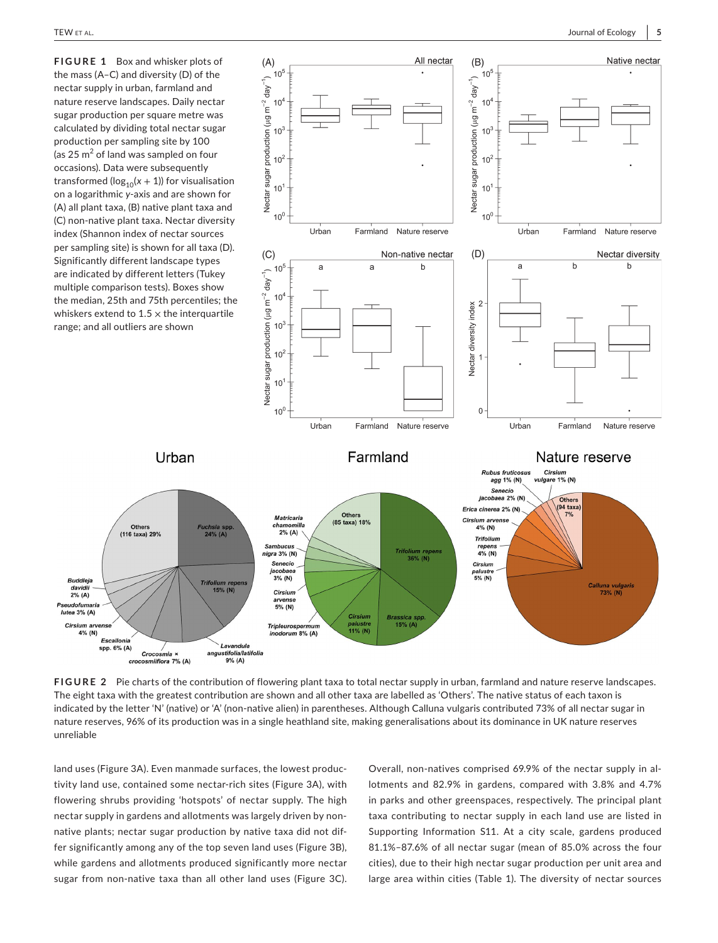

**FIGURE 2** Pie charts of the contribution of flowering plant taxa to total nectar supply in urban, farmland and nature reserve landscapes. The eight taxa with the greatest contribution are shown and all other taxa are labelled as 'Others'. The native status of each taxon is indicated by the letter 'N' (native) or 'A' (non-native alien) in parentheses. Although Calluna vulgaris contributed 73% of all nectar sugar in nature reserves, 96% of its production was in a single heathland site, making generalisations about its dominance in UK nature reserves unreliable

land uses (Figure 3A). Even manmade surfaces, the lowest productivity land use, contained some nectar-rich sites (Figure 3A), with flowering shrubs providing 'hotspots' of nectar supply. The high nectar supply in gardens and allotments was largely driven by nonnative plants; nectar sugar production by native taxa did not differ significantly among any of the top seven land uses (Figure 3B), while gardens and allotments produced significantly more nectar sugar from non-native taxa than all other land uses (Figure 3C).

Overall, non-natives comprised 69.9% of the nectar supply in allotments and 82.9% in gardens, compared with 3.8% and 4.7% in parks and other greenspaces, respectively. The principal plant taxa contributing to nectar supply in each land use are listed in Supporting Information S11. At a city scale, gardens produced 81.1%–87.6% of all nectar sugar (mean of 85.0% across the four cities), due to their high nectar sugar production per unit area and large area within cities (Table 1). The diversity of nectar sources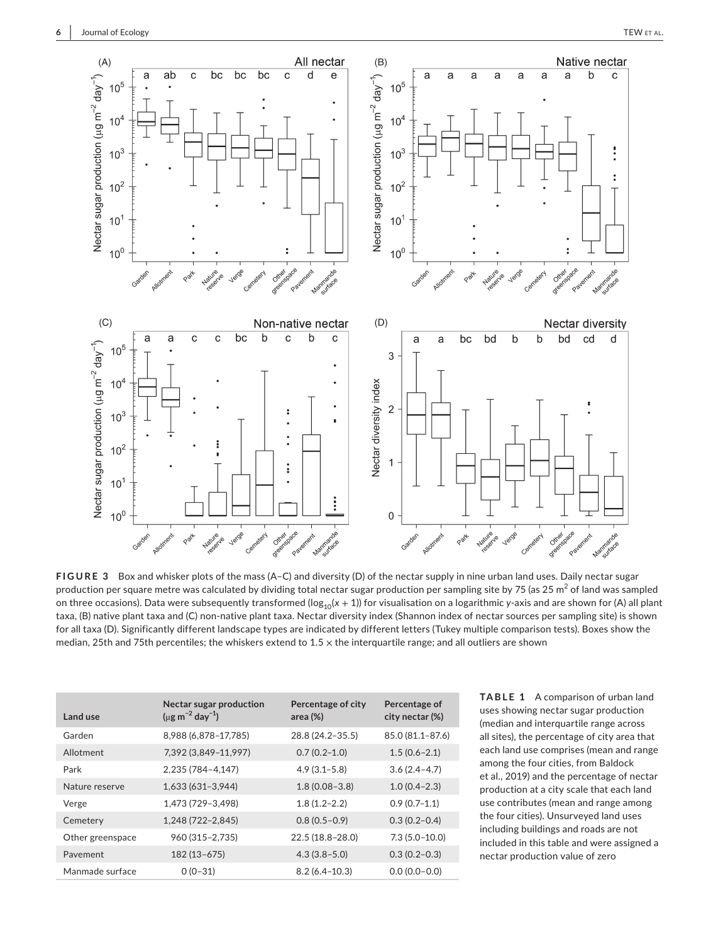

**FIGURE 3** Box and whisker plots of the mass (A–C) and diversity (D) of the nectar supply in nine urban land uses. Daily nectar sugar production per square metre was calculated by dividing total nectar sugar production per sampling site by 75 (as 25 m $^2$  of land was sampled on three occasions). Data were subsequently transformed (log<sub>10</sub>(x + 1)) for visualisation on a logarithmic *y*-axis and are shown for (A) all plant taxa, (B) native plant taxa and (C) non-native plant taxa. Nectar diversity index (Shannon index of nectar sources per sampling site) is shown for all taxa (D). Significantly different landscape types are indicated by different letters (Tukey multiple comparison tests). Boxes show the median, 25th and 75th percentiles; the whiskers extend to  $1.5 \times$  the interquartile range; and all outliers are shown

| Land use         | Nectar sugar production<br>$(\mu g \, m^{-2} \, day^{-1})$ | Percentage of city<br>area (%) | Percentage of<br>city nectar (%) |
|------------------|------------------------------------------------------------|--------------------------------|----------------------------------|
| Garden           | 8,988 (6,878-17,785)                                       | 28.8 (24.2-35.5)               | 85.0 (81.1-87.6)                 |
| Allotment        | 7,392 (3,849-11,997)                                       | $0.7(0.2 - 1.0)$               | $1.5(0.6 - 2.1)$                 |
| Park             | 2,235 (784-4,147)                                          | $4.9(3.1 - 5.8)$               | $3.6(2.4 - 4.7)$                 |
| Nature reserve   | 1,633 (631-3,944)                                          | $1.8(0.08 - 3.8)$              | $1.0(0.4 - 2.3)$                 |
| Verge            | 1,473 (729-3,498)                                          | $1.8(1.2 - 2.2)$               | $0.9(0.7-1.1)$                   |
| Cemetery         | 1,248 (722-2,845)                                          | $0.8(0.5-0.9)$                 | $0.3(0.2 - 0.4)$                 |
| Other greenspace | 960 (315-2,735)                                            | 22.5 (18.8-28.0)               | $7.3(5.0-10.0)$                  |
| Pavement         | 182 (13-675)                                               | $4.3(3.8 - 5.0)$               | $0.3(0.2 - 0.3)$                 |
| Manmade surface  | $0(0-31)$                                                  | $8.2(6.4 - 10.3)$              | $0.0(0.0-0.0)$                   |

**TABLE 1** A comparison of urban land uses showing nectar sugar production (median and interquartile range across all sites), the percentage of city area that each land use comprises (mean and range among the four cities, from Baldock et al., 2019) and the percentage of nectar production at a city scale that each land use contributes (mean and range among the four cities). Unsurveyed land uses including buildings and roads are not included in this table and were assigned a nectar production value of zero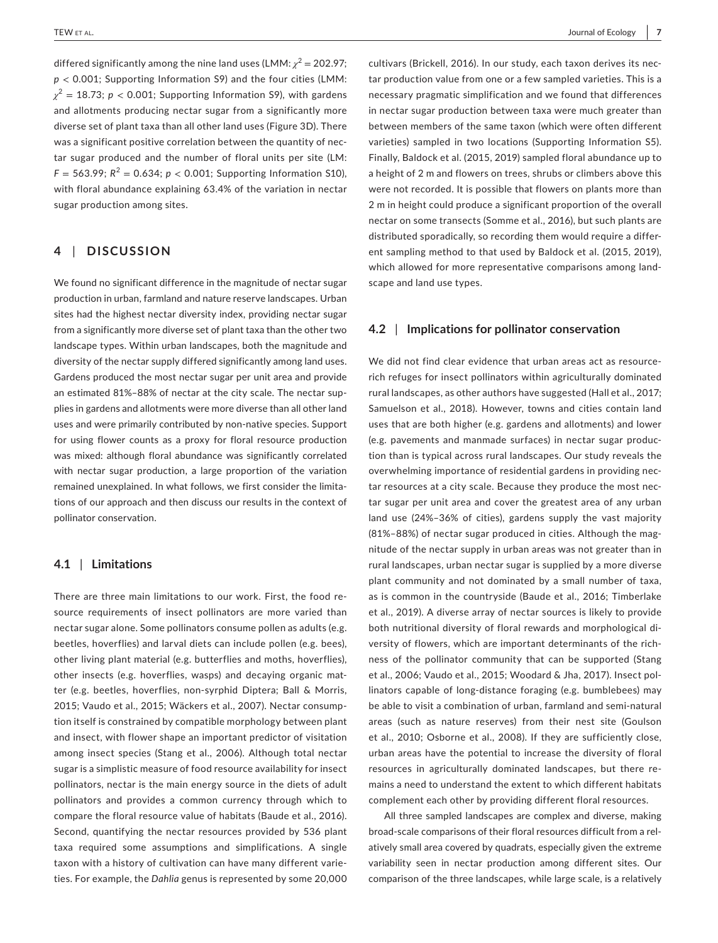differed significantly among the nine land uses (LMM:  $\chi^2$  = 202.97; *p* < 0.001; Supporting Information S9) and the four cities (LMM:  $\chi^2$  = 18.73; *p* < 0.001; Supporting Information S9), with gardens and allotments producing nectar sugar from a significantly more diverse set of plant taxa than all other land uses (Figure 3D). There was a significant positive correlation between the quantity of nectar sugar produced and the number of floral units per site (LM:  $F = 563.99$ ;  $R^2 = 0.634$ ;  $p < 0.001$ ; Supporting Information S10), with floral abundance explaining 63.4% of the variation in nectar sugar production among sites.

## **4** | **DISCUSSION**

We found no significant difference in the magnitude of nectar sugar production in urban, farmland and nature reserve landscapes. Urban sites had the highest nectar diversity index, providing nectar sugar from a significantly more diverse set of plant taxa than the other two landscape types. Within urban landscapes, both the magnitude and diversity of the nectar supply differed significantly among land uses. Gardens produced the most nectar sugar per unit area and provide an estimated 81%–88% of nectar at the city scale. The nectar supplies in gardens and allotments were more diverse than all other land uses and were primarily contributed by non-native species. Support for using flower counts as a proxy for floral resource production was mixed: although floral abundance was significantly correlated with nectar sugar production, a large proportion of the variation remained unexplained. In what follows, we first consider the limitations of our approach and then discuss our results in the context of pollinator conservation.

## **4.1** | **Limitations**

There are three main limitations to our work. First, the food resource requirements of insect pollinators are more varied than nectar sugar alone. Some pollinators consume pollen as adults (e.g. beetles, hoverflies) and larval diets can include pollen (e.g. bees), other living plant material (e.g. butterflies and moths, hoverflies), other insects (e.g. hoverflies, wasps) and decaying organic matter (e.g. beetles, hoverflies, non-syrphid Diptera; Ball & Morris, 2015; Vaudo et al., 2015; Wäckers et al., 2007). Nectar consumption itself is constrained by compatible morphology between plant and insect, with flower shape an important predictor of visitation among insect species (Stang et al., 2006). Although total nectar sugar is a simplistic measure of food resource availability for insect pollinators, nectar is the main energy source in the diets of adult pollinators and provides a common currency through which to compare the floral resource value of habitats (Baude et al., 2016). Second, quantifying the nectar resources provided by 536 plant taxa required some assumptions and simplifications. A single taxon with a history of cultivation can have many different varieties. For example, the *Dahlia* genus is represented by some 20,000 cultivars (Brickell, 2016). In our study, each taxon derives its nectar production value from one or a few sampled varieties. This is a necessary pragmatic simplification and we found that differences in nectar sugar production between taxa were much greater than between members of the same taxon (which were often different varieties) sampled in two locations (Supporting Information S5). Finally, Baldock et al. (2015, 2019) sampled floral abundance up to a height of 2 m and flowers on trees, shrubs or climbers above this were not recorded. It is possible that flowers on plants more than 2 m in height could produce a significant proportion of the overall nectar on some transects (Somme et al., 2016), but such plants are distributed sporadically, so recording them would require a different sampling method to that used by Baldock et al. (2015, 2019), which allowed for more representative comparisons among landscape and land use types.

#### **4.2** | **Implications for pollinator conservation**

We did not find clear evidence that urban areas act as resourcerich refuges for insect pollinators within agriculturally dominated rural landscapes, as other authors have suggested (Hall et al., 2017; Samuelson et al., 2018). However, towns and cities contain land uses that are both higher (e.g. gardens and allotments) and lower (e.g. pavements and manmade surfaces) in nectar sugar production than is typical across rural landscapes. Our study reveals the overwhelming importance of residential gardens in providing nectar resources at a city scale. Because they produce the most nectar sugar per unit area and cover the greatest area of any urban land use (24%–36% of cities), gardens supply the vast majority (81%–88%) of nectar sugar produced in cities. Although the magnitude of the nectar supply in urban areas was not greater than in rural landscapes, urban nectar sugar is supplied by a more diverse plant community and not dominated by a small number of taxa, as is common in the countryside (Baude et al., 2016; Timberlake et al., 2019). A diverse array of nectar sources is likely to provide both nutritional diversity of floral rewards and morphological diversity of flowers, which are important determinants of the richness of the pollinator community that can be supported (Stang et al., 2006; Vaudo et al., 2015; Woodard & Jha, 2017). Insect pollinators capable of long-distance foraging (e.g. bumblebees) may be able to visit a combination of urban, farmland and semi-natural areas (such as nature reserves) from their nest site (Goulson et al., 2010; Osborne et al., 2008). If they are sufficiently close, urban areas have the potential to increase the diversity of floral resources in agriculturally dominated landscapes, but there remains a need to understand the extent to which different habitats complement each other by providing different floral resources.

All three sampled landscapes are complex and diverse, making broad-scale comparisons of their floral resources difficult from a relatively small area covered by quadrats, especially given the extreme variability seen in nectar production among different sites. Our comparison of the three landscapes, while large scale, is a relatively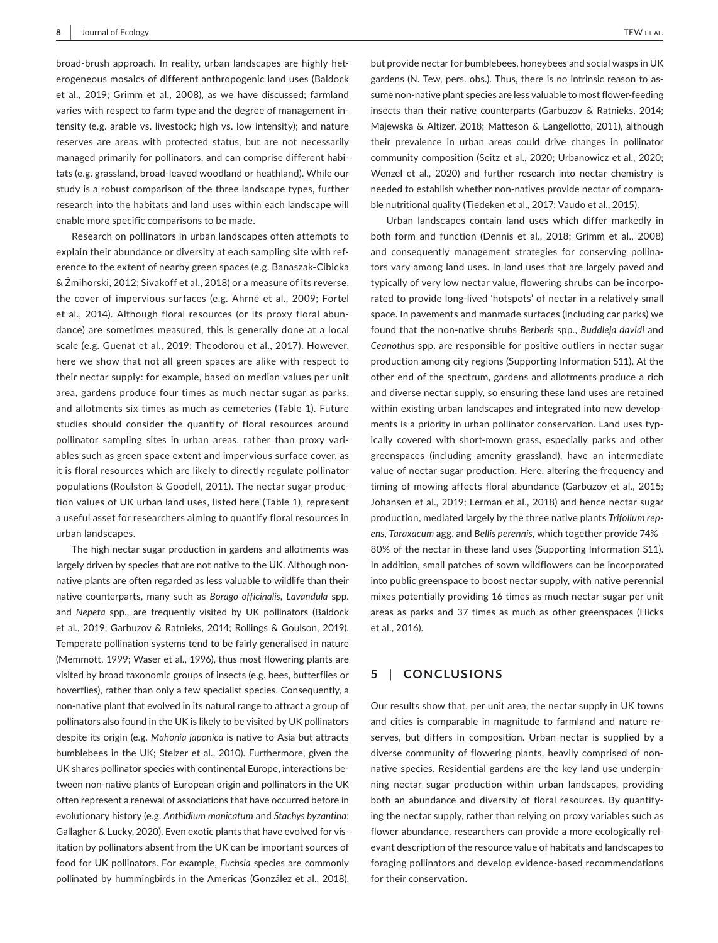broad-brush approach. In reality, urban landscapes are highly heterogeneous mosaics of different anthropogenic land uses (Baldock et al., 2019; Grimm et al., 2008), as we have discussed; farmland varies with respect to farm type and the degree of management intensity (e.g. arable vs. livestock; high vs. low intensity); and nature reserves are areas with protected status, but are not necessarily managed primarily for pollinators, and can comprise different habitats (e.g. grassland, broad-leaved woodland or heathland). While our study is a robust comparison of the three landscape types, further research into the habitats and land uses within each landscape will enable more specific comparisons to be made.

Research on pollinators in urban landscapes often attempts to explain their abundance or diversity at each sampling site with reference to the extent of nearby green spaces (e.g. Banaszak-Cibicka & Żmihorski, 2012; Sivakoff et al., 2018) or a measure of its reverse, the cover of impervious surfaces (e.g. Ahrné et al., 2009; Fortel et al., 2014). Although floral resources (or its proxy floral abundance) are sometimes measured, this is generally done at a local scale (e.g. Guenat et al., 2019; Theodorou et al., 2017). However, here we show that not all green spaces are alike with respect to their nectar supply: for example, based on median values per unit area, gardens produce four times as much nectar sugar as parks, and allotments six times as much as cemeteries (Table 1). Future studies should consider the quantity of floral resources around pollinator sampling sites in urban areas, rather than proxy variables such as green space extent and impervious surface cover, as it is floral resources which are likely to directly regulate pollinator populations (Roulston & Goodell, 2011). The nectar sugar production values of UK urban land uses, listed here (Table 1), represent a useful asset for researchers aiming to quantify floral resources in urban landscapes.

The high nectar sugar production in gardens and allotments was largely driven by species that are not native to the UK. Although nonnative plants are often regarded as less valuable to wildlife than their native counterparts, many such as *Borago officinalis*, *Lavandula* spp. and *Nepeta* spp., are frequently visited by UK pollinators (Baldock et al., 2019; Garbuzov & Ratnieks, 2014; Rollings & Goulson, 2019). Temperate pollination systems tend to be fairly generalised in nature (Memmott, 1999; Waser et al., 1996), thus most flowering plants are visited by broad taxonomic groups of insects (e.g. bees, butterflies or hoverflies), rather than only a few specialist species. Consequently, a non-native plant that evolved in its natural range to attract a group of pollinators also found in the UK is likely to be visited by UK pollinators despite its origin (e.g. *Mahonia japonica* is native to Asia but attracts bumblebees in the UK; Stelzer et al., 2010). Furthermore, given the UK shares pollinator species with continental Europe, interactions between non-native plants of European origin and pollinators in the UK often represent a renewal of associations that have occurred before in evolutionary history (e.g. *Anthidium manicatum* and *Stachys byzantina*; Gallagher & Lucky, 2020). Even exotic plants that have evolved for visitation by pollinators absent from the UK can be important sources of food for UK pollinators. For example, *Fuchsia* species are commonly pollinated by hummingbirds in the Americas (González et al., 2018),

but provide nectar for bumblebees, honeybees and social wasps in UK gardens (N. Tew, pers. obs.). Thus, there is no intrinsic reason to assume non-native plant species are less valuable to most flower-feeding insects than their native counterparts (Garbuzov & Ratnieks, 2014; Majewska & Altizer, 2018; Matteson & Langellotto, 2011), although their prevalence in urban areas could drive changes in pollinator community composition (Seitz et al., 2020; Urbanowicz et al., 2020; Wenzel et al., 2020) and further research into nectar chemistry is needed to establish whether non-natives provide nectar of comparable nutritional quality (Tiedeken et al., 2017; Vaudo et al., 2015).

Urban landscapes contain land uses which differ markedly in both form and function (Dennis et al., 2018; Grimm et al., 2008) and consequently management strategies for conserving pollinators vary among land uses. In land uses that are largely paved and typically of very low nectar value, flowering shrubs can be incorporated to provide long-lived 'hotspots' of nectar in a relatively small space. In pavements and manmade surfaces (including car parks) we found that the non-native shrubs *Berberis* spp., *Buddleja davidi* and *Ceanothus* spp. are responsible for positive outliers in nectar sugar production among city regions (Supporting Information S11). At the other end of the spectrum, gardens and allotments produce a rich and diverse nectar supply, so ensuring these land uses are retained within existing urban landscapes and integrated into new developments is a priority in urban pollinator conservation. Land uses typically covered with short-mown grass, especially parks and other greenspaces (including amenity grassland), have an intermediate value of nectar sugar production. Here, altering the frequency and timing of mowing affects floral abundance (Garbuzov et al., 2015; Johansen et al., 2019; Lerman et al., 2018) and hence nectar sugar production, mediated largely by the three native plants *Trifolium repens, Taraxacum* agg. and *Bellis perennis,* which together provide 74%– 80% of the nectar in these land uses (Supporting Information S11). In addition, small patches of sown wildflowers can be incorporated into public greenspace to boost nectar supply, with native perennial mixes potentially providing 16 times as much nectar sugar per unit areas as parks and 37 times as much as other greenspaces (Hicks et al., 2016).

## **5** | **CONCLUSIONS**

Our results show that, per unit area, the nectar supply in UK towns and cities is comparable in magnitude to farmland and nature reserves, but differs in composition. Urban nectar is supplied by a diverse community of flowering plants, heavily comprised of nonnative species. Residential gardens are the key land use underpinning nectar sugar production within urban landscapes, providing both an abundance and diversity of floral resources. By quantifying the nectar supply, rather than relying on proxy variables such as flower abundance, researchers can provide a more ecologically relevant description of the resource value of habitats and landscapes to foraging pollinators and develop evidence-based recommendations for their conservation.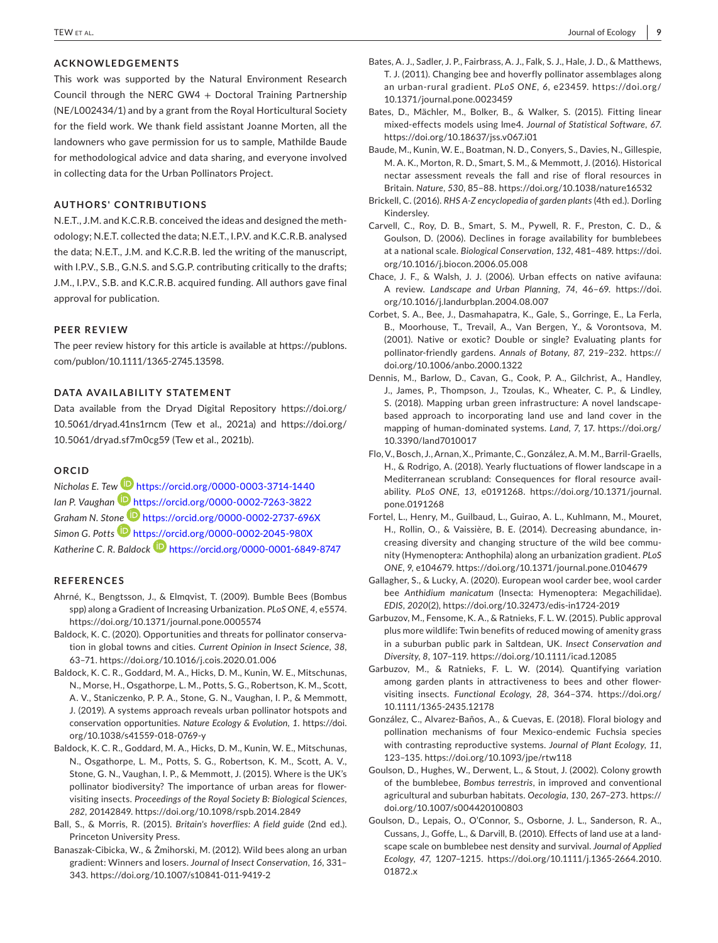## **ACKNOWLEDGEMENTS**

This work was supported by the Natural Environment Research Council through the NERC GW4 + Doctoral Training Partnership (NE/L002434/1) and by a grant from the Royal Horticultural Society for the field work. We thank field assistant Joanne Morten, all the landowners who gave permission for us to sample, Mathilde Baude for methodological advice and data sharing, and everyone involved in collecting data for the Urban Pollinators Project.

## **AUTHORS' CONTRIBUTIONS**

N.E.T., J.M. and K.C.R.B. conceived the ideas and designed the methodology; N.E.T. collected the data; N.E.T., I.P.V. and K.C.R.B. analysed the data; N.E.T., J.M. and K.C.R.B. led the writing of the manuscript, with I.P.V., S.B., G.N.S. and S.G.P. contributing critically to the drafts; J.M., I.P.V., S.B. and K.C.R.B. acquired funding. All authors gave final approval for publication.

#### **PEER REVIEW**

The peer review history for this article is available at [https://publons.](https://publons.com/publon/10.1111/1365-2745.13598) [com/publon/10.1111/1365-2745.13598.](https://publons.com/publon/10.1111/1365-2745.13598)

## **DATA AVAILABILITY STATEMENT**

Data available from the Dryad Digital Repository [https://doi.org/](https://doi.org/10.5061/dryad.41ns1rncm) [10.5061/dryad.41ns1rncm](https://doi.org/10.5061/dryad.41ns1rncm) (Tew et al., 2021a) and [https://doi.org/](https://doi.org/10.5061/dryad.sf7m0cg59) [10.5061/dryad.sf7m0cg59](https://doi.org/10.5061/dryad.sf7m0cg59) (Tew et al., 2021b).

#### **ORCID**

*Nicholas E. Te[w](https://orcid.org/0000-0002-7263-3822)* <https://orcid.org/0000-0003-3714-1440> *Ian P. Vaughan* <https://orcid.org/0000-0002-7263-3822> *Graham N. Sto[ne](https://orcid.org/0000-0002-2045-980X)* <https://orcid.org/0000-0002-2737-696X> *Simon G. Potts* <https://orcid.org/0000-0002-2045-980X> Katherine C. R. Baldock **<https://orcid.org/0000-0001-6849-8747>** 

#### **REFERENCES**

- Ahrné, K., Bengtsson, J., & Elmqvist, T. (2009). Bumble Bees (Bombus spp) along a Gradient of Increasing Urbanization. *PLoS ONE*, *4*, e5574. <https://doi.org/10.1371/journal.pone.0005574>
- Baldock, K. C. (2020). Opportunities and threats for pollinator conservation in global towns and cities. *Current Opinion in Insect Science*, *38*, 63–71. <https://doi.org/10.1016/j.cois.2020.01.006>
- Baldock, K. C. R., Goddard, M. A., Hicks, D. M., Kunin, W. E., Mitschunas, N., Morse, H., Osgathorpe, L. M., Potts, S. G., Robertson, K. M., Scott, A. V., Staniczenko, P. P. A., Stone, G. N., Vaughan, I. P., & Memmott, J. (2019). A systems approach reveals urban pollinator hotspots and conservation opportunities. *Nature Ecology & Evolution*, *1*. [https://doi.](https://doi.org/10.1038/s41559-018-0769-y) [org/10.1038/s41559-018-0769-y](https://doi.org/10.1038/s41559-018-0769-y)
- Baldock, K. C. R., Goddard, M. A., Hicks, D. M., Kunin, W. E., Mitschunas, N., Osgathorpe, L. M., Potts, S. G., Robertson, K. M., Scott, A. V., Stone, G. N., Vaughan, I. P., & Memmott, J. (2015). Where is the UK's pollinator biodiversity? The importance of urban areas for flowervisiting insects. *Proceedings of the Royal Society B: Biological Sciences*, *282*, 20142849.<https://doi.org/10.1098/rspb.2014.2849>
- Ball, S., & Morris, R. (2015). *Britain's hoverflies: A field guide* (2nd ed.). Princeton University Press.
- Banaszak-Cibicka, W., & Żmihorski, M. (2012). Wild bees along an urban gradient: Winners and losers. *Journal of Insect Conservation*, *16*, 331– 343.<https://doi.org/10.1007/s10841-011-9419-2>
- Bates, A. J., Sadler, J. P., Fairbrass, A. J., Falk, S. J., Hale, J. D., & Matthews, T. J. (2011). Changing bee and hoverfly pollinator assemblages along an urban-rural gradient. *PLoS ONE*, *6*, e23459. [https://doi.org/](https://doi.org/10.1371/journal.pone.0023459) [10.1371/journal.pone.0023459](https://doi.org/10.1371/journal.pone.0023459)
- Bates, D., Mächler, M., Bolker, B., & Walker, S. (2015). Fitting linear mixed-effects models using lme4. *Journal of Statistical Software*, *67*. <https://doi.org/10.18637/jss.v067.i01>
- Baude, M., Kunin, W. E., Boatman, N. D., Conyers, S., Davies, N., Gillespie, M. A. K., Morton, R. D., Smart, S. M., & Memmott, J. (2016). Historical nectar assessment reveals the fall and rise of floral resources in Britain. *Nature*, *530*, 85–88. <https://doi.org/10.1038/nature16532>
- Brickell, C. (2016). *RHS A-Z encyclopedia of garden plants* (4th ed.). Dorling Kindersley.
- Carvell, C., Roy, D. B., Smart, S. M., Pywell, R. F., Preston, C. D., & Goulson, D. (2006). Declines in forage availability for bumblebees at a national scale. *Biological Conservation*, *132*, 481–489. [https://doi.](https://doi.org/10.1016/j.biocon.2006.05.008) [org/10.1016/j.biocon.2006.05.008](https://doi.org/10.1016/j.biocon.2006.05.008)
- Chace, J. F., & Walsh, J. J. (2006). Urban effects on native avifauna: A review. *Landscape and Urban Planning*, *74*, 46–69. [https://doi.](https://doi.org/10.1016/j.landurbplan.2004.08.007) [org/10.1016/j.landurbplan.2004.08.007](https://doi.org/10.1016/j.landurbplan.2004.08.007)
- Corbet, S. A., Bee, J., Dasmahapatra, K., Gale, S., Gorringe, E., La Ferla, B., Moorhouse, T., Trevail, A., Van Bergen, Y., & Vorontsova, M. (2001). Native or exotic? Double or single? Evaluating plants for pollinator-friendly gardens. *Annals of Botany*, *87*, 219–232. [https://](https://doi.org/10.1006/anbo.2000.1322) [doi.org/10.1006/anbo.2000.1322](https://doi.org/10.1006/anbo.2000.1322)
- Dennis, M., Barlow, D., Cavan, G., Cook, P. A., Gilchrist, A., Handley, J., James, P., Thompson, J., Tzoulas, K., Wheater, C. P., & Lindley, S. (2018). Mapping urban green infrastructure: A novel landscapebased approach to incorporating land use and land cover in the mapping of human-dominated systems. *Land*, *7*, 17. [https://doi.org/](https://doi.org/10.3390/land7010017) [10.3390/land7010017](https://doi.org/10.3390/land7010017)
- Flo, V., Bosch, J., Arnan, X., Primante, C., González, A. M. M., Barril-Graells, H., & Rodrigo, A. (2018). Yearly fluctuations of flower landscape in a Mediterranean scrubland: Consequences for floral resource availability. *PLoS ONE*, *13*, e0191268. [https://doi.org/10.1371/journal.](https://doi.org/10.1371/journal.pone.0191268) [pone.0191268](https://doi.org/10.1371/journal.pone.0191268)
- Fortel, L., Henry, M., Guilbaud, L., Guirao, A. L., Kuhlmann, M., Mouret, H., Rollin, O., & Vaissière, B. E. (2014). Decreasing abundance, increasing diversity and changing structure of the wild bee community (Hymenoptera: Anthophila) along an urbanization gradient. *PLoS ONE*, *9*, e104679.<https://doi.org/10.1371/journal.pone.0104679>
- Gallagher, S., & Lucky, A. (2020). European wool carder bee, wool carder bee *Anthidium manicatum* (Insecta: Hymenoptera: Megachilidae). *EDIS*, *2020*(2), <https://doi.org/10.32473/edis-in1724-2019>
- Garbuzov, M., Fensome, K. A., & Ratnieks, F. L. W. (2015). Public approval plus more wildlife: Twin benefits of reduced mowing of amenity grass in a suburban public park in Saltdean, UK. *Insect Conservation and Diversity*, *8*, 107–119. <https://doi.org/10.1111/icad.12085>
- Garbuzov, M., & Ratnieks, F. L. W. (2014). Quantifying variation among garden plants in attractiveness to bees and other flowervisiting insects. *Functional Ecology*, *28*, 364–374. [https://doi.org/](https://doi.org/10.1111/1365-2435.12178) [10.1111/1365-2435.12178](https://doi.org/10.1111/1365-2435.12178)
- González, C., Alvarez-Baños, A., & Cuevas, E. (2018). Floral biology and pollination mechanisms of four Mexico-endemic Fuchsia species with contrasting reproductive systems. *Journal of Plant Ecology*, *11*, 123–135.<https://doi.org/10.1093/jpe/rtw118>
- Goulson, D., Hughes, W., Derwent, L., & Stout, J. (2002). Colony growth of the bumblebee, *Bombus terrestris*, in improved and conventional agricultural and suburban habitats. *Oecologia*, *130*, 267–273. [https://](https://doi.org/10.1007/s004420100803) [doi.org/10.1007/s004420100803](https://doi.org/10.1007/s004420100803)
- Goulson, D., Lepais, O., O'Connor, S., Osborne, J. L., Sanderson, R. A., Cussans, J., Goffe, L., & Darvill, B. (2010). Effects of land use at a landscape scale on bumblebee nest density and survival. *Journal of Applied Ecology*, *47*, 1207–1215. [https://doi.org/10.1111/j.1365-2664.2010.](https://doi.org/10.1111/j.1365-2664.2010.01872.x) [01872.x](https://doi.org/10.1111/j.1365-2664.2010.01872.x)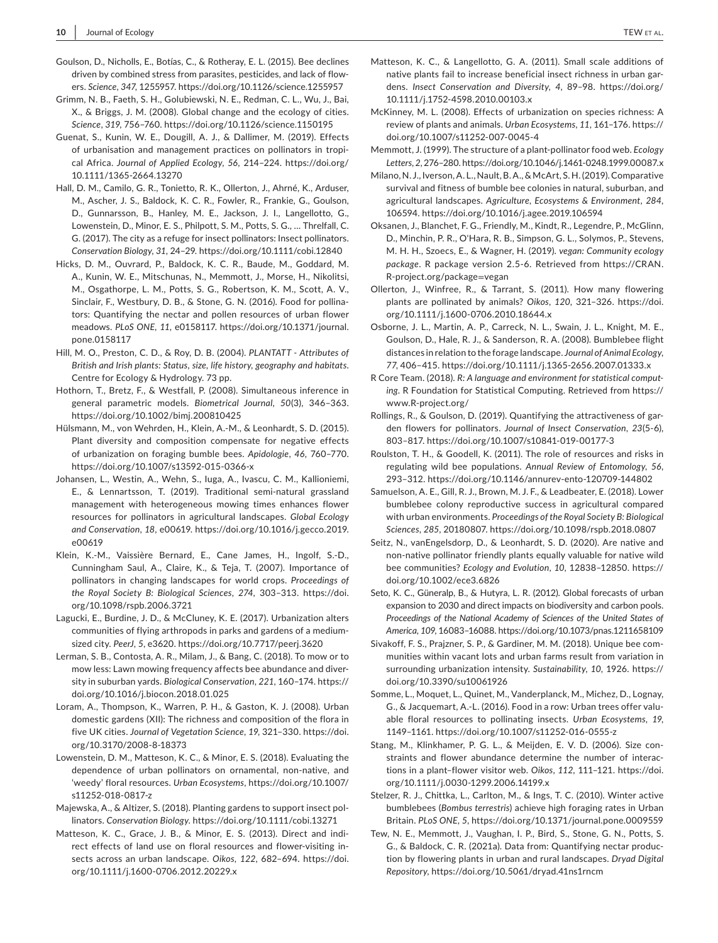- Goulson, D., Nicholls, E., Botías, C., & Rotheray, E. L. (2015). Bee declines driven by combined stress from parasites, pesticides, and lack of flowers. *Science*, *347*, 1255957.<https://doi.org/10.1126/science.1255957>
- Grimm, N. B., Faeth, S. H., Golubiewski, N. E., Redman, C. L., Wu, J., Bai, X., & Briggs, J. M. (2008). Global change and the ecology of cities. *Science*, *319*, 756–760.<https://doi.org/10.1126/science.1150195>
- Guenat, S., Kunin, W. E., Dougill, A. J., & Dallimer, M. (2019). Effects of urbanisation and management practices on pollinators in tropical Africa. *Journal of Applied Ecology*, *56*, 214–224. [https://doi.org/](https://doi.org/10.1111/1365-2664.13270) [10.1111/1365-2664.13270](https://doi.org/10.1111/1365-2664.13270)
- Hall, D. M., Camilo, G. R., Tonietto, R. K., Ollerton, J., Ahrné, K., Arduser, M., Ascher, J. S., Baldock, K. C. R., Fowler, R., Frankie, G., Goulson, D., Gunnarsson, B., Hanley, M. E., Jackson, J. I., Langellotto, G., Lowenstein, D., Minor, E. S., Philpott, S. M., Potts, S. G., … Threlfall, C. G. (2017). The city as a refuge for insect pollinators: Insect pollinators. *Conservation Biology*, *31*, 24–29.<https://doi.org/10.1111/cobi.12840>
- Hicks, D. M., Ouvrard, P., Baldock, K. C. R., Baude, M., Goddard, M. A., Kunin, W. E., Mitschunas, N., Memmott, J., Morse, H., Nikolitsi, M., Osgathorpe, L. M., Potts, S. G., Robertson, K. M., Scott, A. V., Sinclair, F., Westbury, D. B., & Stone, G. N. (2016). Food for pollinators: Quantifying the nectar and pollen resources of urban flower meadows. *PLoS ONE*, *11*, e0158117. [https://doi.org/10.1371/journal.](https://doi.org/10.1371/journal.pone.0158117) [pone.0158117](https://doi.org/10.1371/journal.pone.0158117)
- Hill, M. O., Preston, C. D., & Roy, D. B. (2004). *PLANTATT Attributes of British and Irish plants: Status, size, life history, geography and habitats*. Centre for Ecology & Hydrology. 73 pp.
- Hothorn, T., Bretz, F., & Westfall, P. (2008). Simultaneous inference in general parametric models. *Biometrical Journal*, *50*(3), 346–363. <https://doi.org/10.1002/bimj.200810425>
- Hülsmann, M., von Wehrden, H., Klein, A.-M., & Leonhardt, S. D. (2015). Plant diversity and composition compensate for negative effects of urbanization on foraging bumble bees. *Apidologie*, *46*, 760–770. <https://doi.org/10.1007/s13592-015-0366-x>
- Johansen, L., Westin, A., Wehn, S., Iuga, A., Ivascu, C. M., Kallioniemi, E., & Lennartsson, T. (2019). Traditional semi-natural grassland management with heterogeneous mowing times enhances flower resources for pollinators in agricultural landscapes. *Global Ecology and Conservation*, *18*, e00619. [https://doi.org/10.1016/j.gecco.2019.](https://doi.org/10.1016/j.gecco.2019.e00619) [e00619](https://doi.org/10.1016/j.gecco.2019.e00619)
- Klein, K.-M., Vaissière Bernard, E., Cane James, H., Ingolf, S.-D., Cunningham Saul, A., Claire, K., & Teja, T. (2007). Importance of pollinators in changing landscapes for world crops. *Proceedings of the Royal Society B: Biological Sciences*, *274*, 303–313. [https://doi.](https://doi.org/10.1098/rspb.2006.3721) [org/10.1098/rspb.2006.3721](https://doi.org/10.1098/rspb.2006.3721)
- Lagucki, E., Burdine, J. D., & McCluney, K. E. (2017). Urbanization alters communities of flying arthropods in parks and gardens of a mediumsized city. *PeerJ*, *5*, e3620. <https://doi.org/10.7717/peerj.3620>
- Lerman, S. B., Contosta, A. R., Milam, J., & Bang, C. (2018). To mow or to mow less: Lawn mowing frequency affects bee abundance and diversity in suburban yards. *Biological Conservation*, *221*, 160–174. [https://](https://doi.org/10.1016/j.biocon.2018.01.025) [doi.org/10.1016/j.biocon.2018.01.025](https://doi.org/10.1016/j.biocon.2018.01.025)
- Loram, A., Thompson, K., Warren, P. H., & Gaston, K. J. (2008). Urban domestic gardens (XII): The richness and composition of the flora in five UK cities. *Journal of Vegetation Science*, *19*, 321–330. [https://doi.](https://doi.org/10.3170/2008-8-18373) [org/10.3170/2008-8-18373](https://doi.org/10.3170/2008-8-18373)
- Lowenstein, D. M., Matteson, K. C., & Minor, E. S. (2018). Evaluating the dependence of urban pollinators on ornamental, non-native, and 'weedy' floral resources. *Urban Ecosystems*, [https://doi.org/10.1007/](https://doi.org/10.1007/s11252-018-0817-z) [s11252-018-0817-z](https://doi.org/10.1007/s11252-018-0817-z)
- Majewska, A., & Altizer, S. (2018). Planting gardens to support insect pollinators. *Conservation Biology*. <https://doi.org/10.1111/cobi.13271>
- Matteson, K. C., Grace, J. B., & Minor, E. S. (2013). Direct and indirect effects of land use on floral resources and flower-visiting insects across an urban landscape. *Oikos*, *122*, 682–694. [https://doi.](https://doi.org/10.1111/j.1600-0706.2012.20229.x) [org/10.1111/j.1600-0706.2012.20229.x](https://doi.org/10.1111/j.1600-0706.2012.20229.x)
- Matteson, K. C., & Langellotto, G. A. (2011). Small scale additions of native plants fail to increase beneficial insect richness in urban gardens. *Insect Conservation and Diversity*, *4*, 89–98. [https://doi.org/](https://doi.org/10.1111/j.1752-4598.2010.00103.x) [10.1111/j.1752-4598.2010.00103.x](https://doi.org/10.1111/j.1752-4598.2010.00103.x)
- McKinney, M. L. (2008). Effects of urbanization on species richness: A review of plants and animals. *Urban Ecosystems*, *11*, 161–176. [https://](https://doi.org/10.1007/s11252-007-0045-4) [doi.org/10.1007/s11252-007-0045-4](https://doi.org/10.1007/s11252-007-0045-4)
- Memmott, J. (1999). The structure of a plant-pollinator food web. *Ecology Letters*, *2*, 276–280.<https://doi.org/10.1046/j.1461-0248.1999.00087.x>
- Milano, N. J., Iverson, A. L., Nault, B. A., & McArt, S. H. (2019). Comparative survival and fitness of bumble bee colonies in natural, suburban, and agricultural landscapes. *Agriculture, Ecosystems & Environment*, *284*, 106594.<https://doi.org/10.1016/j.agee.2019.106594>
- Oksanen, J., Blanchet, F. G., Friendly, M., Kindt, R., Legendre, P., McGlinn, D., Minchin, P. R., O'Hara, R. B., Simpson, G. L., Solymos, P., Stevens, M. H. H., Szoecs, E., & Wagner, H. (2019). *vegan: Community ecology package*. R package version 2.5-6. Retrieved from [https://CRAN.](https://CRAN.R-project.org/package=vegan) [R-project.org/package](https://CRAN.R-project.org/package=vegan)=vegan
- Ollerton, J., Winfree, R., & Tarrant, S. (2011). How many flowering plants are pollinated by animals? *Oikos*, *120*, 321–326. [https://doi.](https://doi.org/10.1111/j.1600-0706.2010.18644.x) [org/10.1111/j.1600-0706.2010.18644.x](https://doi.org/10.1111/j.1600-0706.2010.18644.x)
- Osborne, J. L., Martin, A. P., Carreck, N. L., Swain, J. L., Knight, M. E., Goulson, D., Hale, R. J., & Sanderson, R. A. (2008). Bumblebee flight distances in relation to the forage landscape. *Journal of Animal Ecology*, *77*, 406–415. <https://doi.org/10.1111/j.1365-2656.2007.01333.x>
- R Core Team. (2018). *R: A language and environment for statistical computing*. R Foundation for Statistical Computing. Retrieved from [https://](https://www.R-project.org/) [www.R-project.org/](https://www.R-project.org/)
- Rollings, R., & Goulson, D. (2019). Quantifying the attractiveness of garden flowers for pollinators. *Journal of Insect Conservation*, *23*(5-6), 803–817.<https://doi.org/10.1007/s10841-019-00177-3>
- Roulston, T. H., & Goodell, K. (2011). The role of resources and risks in regulating wild bee populations. *Annual Review of Entomology*, *56*, 293–312. <https://doi.org/10.1146/annurev-ento-120709-144802>
- Samuelson, A. E., Gill, R. J., Brown, M. J. F., & Leadbeater, E. (2018). Lower bumblebee colony reproductive success in agricultural compared with urban environments. *Proceedings of the Royal Society B: Biological Sciences*, *285*, 20180807. <https://doi.org/10.1098/rspb.2018.0807>
- Seitz, N., vanEngelsdorp, D., & Leonhardt, S. D. (2020). Are native and non-native pollinator friendly plants equally valuable for native wild bee communities? *Ecology and Evolution*, *10*, 12838–12850. [https://](https://doi.org/10.1002/ece3.6826) [doi.org/10.1002/ece3.6826](https://doi.org/10.1002/ece3.6826)
- Seto, K. C., Güneralp, B., & Hutyra, L. R. (2012). Global forecasts of urban expansion to 2030 and direct impacts on biodiversity and carbon pools. *Proceedings of the National Academy of Sciences of the United States of America*, *109*, 16083–16088.<https://doi.org/10.1073/pnas.1211658109>
- Sivakoff, F. S., Prajzner, S. P., & Gardiner, M. M. (2018). Unique bee communities within vacant lots and urban farms result from variation in surrounding urbanization intensity. *Sustainability*, *10*, 1926. [https://](https://doi.org/10.3390/su10061926) [doi.org/10.3390/su10061926](https://doi.org/10.3390/su10061926)
- Somme, L., Moquet, L., Quinet, M., Vanderplanck, M., Michez, D., Lognay, G., & Jacquemart, A.-L. (2016). Food in a row: Urban trees offer valuable floral resources to pollinating insects. *Urban Ecosystems*, *19*, 1149–1161. <https://doi.org/10.1007/s11252-016-0555-z>
- Stang, M., Klinkhamer, P. G. L., & Meijden, E. V. D. (2006). Size constraints and flower abundance determine the number of interactions in a plant–flower visitor web. *Oikos*, *112*, 111–121. [https://doi.](https://doi.org/10.1111/j.0030-1299.2006.14199.x) [org/10.1111/j.0030-1299.2006.14199.x](https://doi.org/10.1111/j.0030-1299.2006.14199.x)
- Stelzer, R. J., Chittka, L., Carlton, M., & Ings, T. C. (2010). Winter active bumblebees (*Bombus terrestris*) achieve high foraging rates in Urban Britain. *PLoS ONE*, *5*,<https://doi.org/10.1371/journal.pone.0009559>
- Tew, N. E., Memmott, J., Vaughan, I. P., Bird, S., Stone, G. N., Potts, S. G., & Baldock, C. R. (2021a). Data from: Quantifying nectar production by flowering plants in urban and rural landscapes. *Dryad Digital Repository*, <https://doi.org/10.5061/dryad.41ns1rncm>